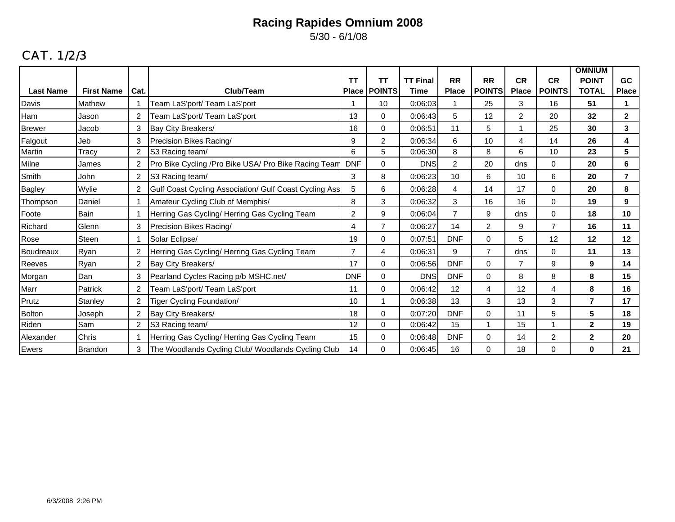5/30 - 6/1/08

## CAT. 1/2/3

|                  |                   |                |                                                        | <b>TT</b>      | <b>TT</b>      | <b>TT Final</b> | <b>RR</b>      | <b>RR</b>      | <b>CR</b>      | <b>CR</b>      | <b>OMNIUM</b><br><b>POINT</b> | <b>GC</b>      |
|------------------|-------------------|----------------|--------------------------------------------------------|----------------|----------------|-----------------|----------------|----------------|----------------|----------------|-------------------------------|----------------|
| <b>Last Name</b> | <b>First Name</b> | Cat.           | Club/Team                                              | <b>Place</b>   | <b>POINTS</b>  | Time            | <b>Place</b>   | <b>POINTS</b>  | <b>Place</b>   | <b>POINTS</b>  | <b>TOTAL</b>                  | <b>Place</b>   |
| Davis            | Mathew            |                | Team LaS'port/ Team LaS'port                           |                | 10             | 0:06:03         | 1              | 25             | 3              | 16             | 51                            | 1              |
| Ham              | Jason             | 2              | Team LaS'port/ Team LaS'port                           | 13             | $\Omega$       | 0:06:43         | 5              | 12             | $\overline{2}$ | 20             | 32                            | $\overline{2}$ |
| <b>Brewer</b>    | Jacob             | 3              | Bay City Breakers/                                     | 16             | 0              | 0:06:51         | 11             | 5              |                | 25             | 30                            | 3              |
| Falgout          | Jeb               | 3              | Precision Bikes Racing/                                | 9              | $\overline{2}$ | 0:06:34         | 6              | 10             | 4              | 14             | 26                            | 4              |
| Martin           | Tracy             | $\overline{2}$ | S3 Racing team/                                        | 6              | 5              | 0:06:30         | 8              | 8              | 6              | 10             | 23                            | 5              |
| Milne            | James             | $\overline{2}$ | Pro Bike Cycling / Pro Bike USA/ Pro Bike Racing Team  | <b>DNF</b>     | $\Omega$       | <b>DNS</b>      | $\overline{c}$ | 20             | dns            | 0              | 20                            | 6              |
| Smith            | John              | $\overline{2}$ | S3 Racing team/                                        | 3              | 8              | 0:06:23         | 10             | 6              | 10             | 6              | 20                            | 7              |
| <b>Bagley</b>    | Wylie             | $\overline{2}$ | Gulf Coast Cycling Association/ Gulf Coast Cycling Ass | 5              | 6              | 0:06:28         | 4              | 14             | 17             | $\Omega$       | 20                            | 8              |
| Thompson         | Daniel            |                | Amateur Cycling Club of Memphis/                       | 8              | 3              | 0:06:32         | 3              | 16             | 16             | 0              | 19                            | 9              |
| Foote            | Bain              |                | Herring Gas Cycling/ Herring Gas Cycling Team          | $\overline{c}$ | 9              | 0:06:04         | $\overline{7}$ | 9              | dns            | 0              | 18                            | 10             |
| Richard          | Glenn             | $\mathbf{3}$   | Precision Bikes Racing/                                | 4              | $\overline{7}$ | 0:06:27         | 14             | $\overline{2}$ | 9              | $\overline{7}$ | 16                            | 11             |
| Rose             | Steen             |                | Solar Eclipse/                                         | 19             | $\mathbf 0$    | 0:07:51         | <b>DNF</b>     | $\Omega$       | 5              | 12             | 12                            | 12             |
| Boudreaux        | Ryan              | $\overline{2}$ | Herring Gas Cycling/ Herring Gas Cycling Team          | $\overline{7}$ | 4              | 0:06:31         | 9              | 7              | dns            | 0              | 11                            | 13             |
| Reeves           | Ryan              | $\overline{2}$ | Bay City Breakers/                                     | 17             | $\Omega$       | 0:06:56         | <b>DNF</b>     | $\Omega$       | 7              | 9              | 9                             | 14             |
| Morgan           | Dan               | 3              | Pearland Cycles Racing p/b MSHC.net/                   | <b>DNF</b>     | $\Omega$       | <b>DNS</b>      | <b>DNF</b>     | $\Omega$       | 8              | 8              | 8                             | 15             |
| Marr             | Patrick           | $\overline{2}$ | Team LaS'port/ Team LaS'port                           | 11             | $\Omega$       | 0:06:42         | 12             | 4              | 12             | 4              | 8                             | 16             |
| Prutz            | Stanley           | $\overline{2}$ | Tiger Cycling Foundation/                              | 10             |                | 0:06:38         | 13             | 3              | 13             | 3              | $\overline{ }$                | 17             |
| <b>Bolton</b>    | Joseph            | $\overline{2}$ | Bay City Breakers/                                     | 18             | $\mathbf 0$    | 0:07:20         | <b>DNF</b>     | $\Omega$       | 11             | 5              | 5                             | 18             |
| Riden            | Sam               | $\overline{c}$ | S3 Racing team/                                        | 12             | $\Omega$       | 0:06:42         | 15             | 1              | 15             |                | $\overline{2}$                | 19             |
| Alexander        | Chris             |                | Herring Gas Cycling/Herring Gas Cycling Team           | 15             | $\Omega$       | 0:06:48         | <b>DNF</b>     | $\Omega$       | 14             | $\overline{c}$ | $\mathbf 2$                   | 20             |
| Ewers            | Brandon           | 3              | The Woodlands Cycling Club/ Woodlands Cycling Club     | 14             | 0              | 0:06:45         | 16             | $\Omega$       | 18             | $\mathbf 0$    | 0                             | 21             |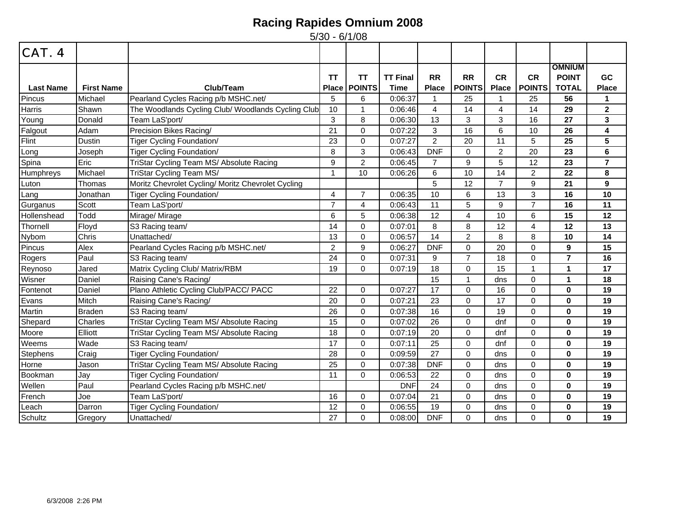| CAT. 4           |                   |                                                    |                           |                            |                                |                           |                            |                           |                            |                                               |                           |
|------------------|-------------------|----------------------------------------------------|---------------------------|----------------------------|--------------------------------|---------------------------|----------------------------|---------------------------|----------------------------|-----------------------------------------------|---------------------------|
| <b>Last Name</b> | <b>First Name</b> | Club/Team                                          | <b>TT</b><br><b>Place</b> | <b>TT</b><br><b>POINTS</b> | <b>TT Final</b><br><b>Time</b> | <b>RR</b><br><b>Place</b> | <b>RR</b><br><b>POINTS</b> | <b>CR</b><br><b>Place</b> | <b>CR</b><br><b>POINTS</b> | <b>OMNIUM</b><br><b>POINT</b><br><b>TOTAL</b> | <b>GC</b><br><b>Place</b> |
| Pincus           | Michael           | Pearland Cycles Racing p/b MSHC.net/               | 5                         | 6                          | 0:06:37                        |                           | 25                         |                           | 25                         | 56                                            | 1                         |
| Harris           | Shawn             | The Woodlands Cycling Club/ Woodlands Cycling Club | 10                        | $\mathbf{1}$               | 0:06:46                        | 4                         | 14                         | 4                         | 14                         | 29                                            | $\mathbf{2}$              |
| Young            | Donald            | Team LaS'port/                                     | 3                         | 8                          | 0:06:30                        | 13                        | 3                          | 3                         | 16                         | 27                                            | 3                         |
| Falgout          | Adam              | Precision Bikes Racing/                            | 21                        | $\Omega$                   | 0:07:22                        | 3                         | 16                         | 6                         | 10                         | 26                                            | 4                         |
| Flint            | <b>Dustin</b>     | <b>Tiger Cycling Foundation/</b>                   | 23                        | 0                          | 0:07:27                        | $\overline{2}$            | 20                         | 11                        | 5                          | 25                                            | 5                         |
| Long             | Joseph            | Tiger Cycling Foundation/                          | 8                         | 3                          | 0:06:43                        | <b>DNF</b>                | $\Omega$                   | $\overline{2}$            | 20                         | 23                                            | 6                         |
| Spina            | Eric              | TriStar Cycling Team MS/ Absolute Racing           | 9                         | $\overline{c}$             | 0:06:45                        | $\overline{7}$            | 9                          | 5                         | 12                         | 23                                            | $\overline{7}$            |
| Humphreys        | Michael           | TriStar Cycling Team MS/                           | 1                         | 10                         | 0:06:26                        | 6                         | 10                         | 14                        | $\overline{2}$             | 22                                            | 8                         |
| Luton            | Thomas            | Moritz Chevrolet Cycling/ Moritz Chevrolet Cycling |                           |                            |                                | 5                         | 12                         | $\overline{7}$            | 9                          | 21                                            | 9                         |
| Lang             | Jonathan          | <b>Tiger Cycling Foundation/</b>                   | 4                         | $\overline{7}$             | 0:06:35                        | 10                        | 6                          | 13                        | 3                          | 16                                            | 10                        |
| Gurganus         | Scott             | Team LaS'port/                                     | $\overline{7}$            | $\overline{4}$             | 0:06:43                        | 11                        | 5                          | 9                         | $\overline{7}$             | 16                                            | 11                        |
| Hollenshead      | Todd              | Mirage/ Mirage                                     | 6                         | 5                          | 0:06:38                        | 12                        | 4                          | 10                        | 6                          | 15                                            | 12                        |
| Thornell         | Floyd             | S3 Racing team/                                    | 14                        | 0                          | 0:07:01                        | 8                         | 8                          | 12                        | 4                          | 12                                            | 13                        |
| Nybom            | Chris             | Unattached/                                        | 13                        | 0                          | 0:06:57                        | 14                        | $\overline{2}$             | 8                         | 8                          | 10                                            | 14                        |
| Pincus           | Alex              | Pearland Cycles Racing p/b MSHC.net/               | $\overline{2}$            | 9                          | 0:06:27                        | <b>DNF</b>                | $\Omega$                   | 20                        | $\Omega$                   | 9                                             | 15                        |
| Rogers           | Paul              | S3 Racing team/                                    | 24                        | 0                          | 0:07:31                        | 9                         | $\overline{7}$             | 18                        | $\Omega$                   | $\overline{7}$                                | 16                        |
| Reynoso          | Jared             | Matrix Cycling Club/ Matrix/RBM                    | 19                        | 0                          | 0:07:19                        | 18                        | $\Omega$                   | 15                        | 1                          | $\blacktriangleleft$                          | 17                        |
| Wisner           | Daniel            | Raising Cane's Racing/                             |                           |                            |                                | 15                        | $\mathbf{1}$               | dns                       | $\Omega$                   | $\mathbf 1$                                   | 18                        |
| Fontenot         | Daniel            | Plano Athletic Cycling Club/PACC/ PACC             | 22                        | 0                          | 0:07:27                        | 17                        | $\Omega$                   | 16                        | $\Omega$                   | $\mathbf{0}$                                  | 19                        |
| Evans            | Mitch             | Raising Cane's Racing/                             | 20                        | $\mathbf 0$                | 0:07:21                        | 23                        | $\Omega$                   | 17                        | $\Omega$                   | $\bf{0}$                                      | 19                        |
| Martin           | <b>Braden</b>     | S3 Racing team/                                    | 26                        | $\mathbf 0$                | 0:07:38                        | 16                        | $\Omega$                   | 19                        | $\Omega$                   | $\bf{0}$                                      | 19                        |
| Shepard          | Charles           | TriStar Cycling Team MS/ Absolute Racing           | 15                        | 0                          | 0:07:02                        | 26                        | $\Omega$                   | dnf                       | $\mathbf 0$                | $\mathbf{0}$                                  | 19                        |
| Moore            | Elliott           | TriStar Cycling Team MS/ Absolute Racing           | 18                        | 0                          | 0:07:19                        | 20                        | $\mathbf 0$                | dnf                       | $\mathbf 0$                | $\bf{0}$                                      | 19                        |
| Weems            | Wade              | S3 Racing team/                                    | 17                        | 0                          | 0:07:11                        | 25                        | $\Omega$                   | dnf                       | $\mathbf 0$                | $\mathbf 0$                                   | 19                        |
| <b>Stephens</b>  | Craig             | <b>Tiger Cycling Foundation/</b>                   | 28                        | $\Omega$                   | 0:09:59                        | 27                        | $\Omega$                   | dns                       | $\Omega$                   | $\bf{0}$                                      | 19                        |
| Horne            | Jason             | TriStar Cycling Team MS/ Absolute Racing           | 25                        | $\mathbf 0$                | 0:07:38                        | <b>DNF</b>                | $\Omega$                   | dns                       | $\Omega$                   | $\bf{0}$                                      | 19                        |
| Bookman          | Jay               | <b>Tiger Cycling Foundation/</b>                   | 11                        | 0                          | 0:06:53                        | 22                        | $\Omega$                   | dns                       | $\Omega$                   | $\mathbf{0}$                                  | 19                        |
| Wellen           | Paul              | Pearland Cycles Racing p/b MSHC.net/               |                           |                            | <b>DNF</b>                     | 24                        | $\Omega$                   | dns                       | 0                          | $\mathbf 0$                                   | 19                        |
| French           | Joe               | Team LaS'port/                                     | 16                        | 0                          | 0:07:04                        | 21                        | $\mathbf 0$                | dns                       | $\mathbf 0$                | $\mathbf 0$                                   | 19                        |
| Leach            | Darron            | <b>Tiger Cycling Foundation/</b>                   | 12                        | 0                          | 0:06:55                        | 19                        | 0                          | dns                       | 0                          | $\bf{0}$                                      | 19                        |
| Schultz          | Gregory           | Unattached/                                        | 27                        | $\mathbf 0$                | 0:08:00                        | <b>DNF</b>                | $\Omega$                   | dns                       | $\mathbf 0$                | $\mathbf 0$                                   | 19                        |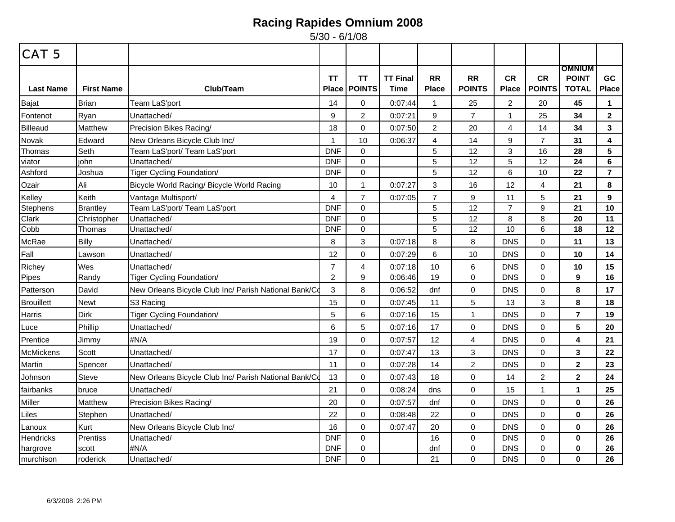| <b>CAT 5</b>      |                   |                                                       |                           |                     |                         |                           |                            |                           |                            |                                               |                    |
|-------------------|-------------------|-------------------------------------------------------|---------------------------|---------------------|-------------------------|---------------------------|----------------------------|---------------------------|----------------------------|-----------------------------------------------|--------------------|
| <b>Last Name</b>  | <b>First Name</b> | Club/Team                                             | <b>TT</b><br><b>Place</b> | ΤT<br><b>POINTS</b> | <b>TT Final</b><br>Time | <b>RR</b><br><b>Place</b> | <b>RR</b><br><b>POINTS</b> | <b>CR</b><br><b>Place</b> | <b>CR</b><br><b>POINTS</b> | <b>OMNIUM</b><br><b>POINT</b><br><b>TOTAL</b> | GC<br><b>Place</b> |
| Bajat             | <b>Brian</b>      | Team LaS'port                                         | 14                        | 0                   | 0:07:44                 | $\mathbf{1}$              | 25                         | $\overline{c}$            | 20                         | 45                                            | $\mathbf 1$        |
| Fontenot          | Ryan              | Unattached/                                           | 9                         | $\overline{2}$      | 0:07:21                 | 9                         | $\overline{7}$             | $\mathbf{1}$              | 25                         | 34                                            | $\mathbf{2}$       |
| Billeaud          | Matthew           | Precision Bikes Racing/                               | 18                        | $\mathbf 0$         | 0:07:50                 | $\overline{2}$            | 20                         | 4                         | 14                         | 34                                            | 3                  |
| Novak             | Edward            | New Orleans Bicycle Club Inc/                         | -1                        | 10                  | 0:06:37                 | 4                         | 14                         | 9                         | $\overline{7}$             | 31                                            | 4                  |
| Thomas            | Seth              | Team LaS'port/ Team LaS'port                          | <b>DNF</b>                | $\mathbf 0$         |                         | 5                         | 12                         | 3                         | 16                         | 28                                            | $5\phantom{1}$     |
| viator            | john              | Unattached/                                           | <b>DNF</b>                | $\mathsf 0$         |                         | 5                         | 12                         | 5                         | 12                         | 24                                            | $6\phantom{a}$     |
| Ashford           | Joshua            | Tiger Cycling Foundation/                             | <b>DNF</b>                | $\mathbf 0$         |                         | 5                         | 12                         | 6                         | 10                         | 22                                            | $\overline{7}$     |
| Ozair             | Ali               | Bicycle World Racing/ Bicycle World Racing            | 10                        | $\mathbf{1}$        | 0:07:27                 | 3                         | 16                         | 12                        | $\overline{4}$             | 21                                            | 8                  |
| Kelley            | Keith             | Vantage Multisport/                                   | 4                         | $\overline{7}$      | 0:07:05                 | $\overline{7}$            | 9                          | 11                        | 5                          | 21                                            | 9                  |
| <b>Stephens</b>   | <b>Brantley</b>   | Team LaS'port/ Team LaS'port                          | <b>DNF</b>                | $\mathbf 0$         |                         | 5                         | 12                         | $\overline{7}$            | 9                          | 21                                            | 10                 |
| Clark             | Christopher       | Unattached/                                           | <b>DNF</b>                | $\mathbf 0$         |                         | 5                         | 12                         | 8                         | 8                          | 20                                            | 11                 |
| Cobb              | Thomas            | Unattached/                                           | <b>DNF</b>                | $\mathbf 0$         |                         | 5                         | 12                         | 10                        | $6\phantom{1}$             | 18                                            | 12                 |
| McRae             | <b>Billy</b>      | Unattached/                                           | 8                         | $\sqrt{3}$          | 0:07:18                 | 8                         | 8                          | <b>DNS</b>                | $\mathbf 0$                | 11                                            | 13                 |
| Fall              | Lawson            | Unattached/                                           | 12                        | $\mathbf 0$         | 0:07:29                 | 6                         | 10                         | <b>DNS</b>                | $\mathbf 0$                | 10                                            | 14                 |
| Richey            | Wes               | Unattached/                                           | $\overline{7}$            | $\overline{4}$      | 0:07:18                 | 10                        | 6                          | <b>DNS</b>                | $\mathbf 0$                | 10                                            | 15                 |
| Pipes             | Randy             | <b>Tiger Cycling Foundation/</b>                      | $\overline{2}$            | 9                   | 0:06:46                 | 19                        | 0                          | <b>DNS</b>                | $\mathbf 0$                | 9                                             | 16                 |
| Patterson         | David             | New Orleans Bicycle Club Inc/ Parish National Bank/Co | $\mathbf{3}$              | 8                   | 0:06:52                 | dnf                       | 0                          | <b>DNS</b>                | $\mathbf 0$                | 8                                             | 17                 |
| <b>Brouillett</b> | <b>Newt</b>       | S3 Racing                                             | 15                        | $\mathbf 0$         | 0:07:45                 | 11                        | 5                          | 13                        | 3                          | 8                                             | 18                 |
| Harris            | <b>Dirk</b>       | <b>Tiger Cycling Foundation/</b>                      | 5                         | 6                   | 0:07:16                 | 15                        | $\mathbf{1}$               | <b>DNS</b>                | $\mathbf 0$                | 7                                             | 19                 |
| Luce              | Phillip           | Unattached/                                           | 6                         | $\sqrt{5}$          | 0:07:16                 | 17                        | 0                          | <b>DNS</b>                | $\Omega$                   | 5                                             | 20                 |
| Prentice          | Jimmy             | #N/A                                                  | 19                        | $\mathbf 0$         | 0:07:57                 | 12                        | 4                          | <b>DNS</b>                | $\mathbf 0$                | 4                                             | 21                 |
| McMickens         | Scott             | Unattached/                                           | 17                        | $\mathbf 0$         | 0:07:47                 | 13                        | 3                          | <b>DNS</b>                | $\mathbf 0$                | 3                                             | 22                 |
| Martin            | Spencer           | Unattached/                                           | 11                        | $\mathbf 0$         | 0:07:28                 | 14                        | $\overline{2}$             | <b>DNS</b>                | $\mathbf 0$                | $\overline{2}$                                | 23                 |
| Johnson           | <b>Steve</b>      | New Orleans Bicycle Club Inc/ Parish National Bank/Co | 13                        | $\pmb{0}$           | 0:07:43                 | 18                        | 0                          | 14                        | $\overline{2}$             | $\mathbf 2$                                   | 24                 |
| fairbanks         | bruce             | Unattached/                                           | 21                        | $\mathbf 0$         | 0:08:24                 | dns                       | 0                          | 15                        | $\mathbf{1}$               | 1                                             | 25                 |
| Miller            | Matthew           | Precision Bikes Racing/                               | 20                        | $\mathbf 0$         | 0:07:57                 | dnf                       | 0                          | <b>DNS</b>                | $\mathbf 0$                | $\mathbf{0}$                                  | 26                 |
| Liles             | Stephen           | Unattached/                                           | 22                        | 0                   | 0:08:48                 | 22                        | 0                          | <b>DNS</b>                | $\mathbf 0$                | $\bf{0}$                                      | 26                 |
| Lanoux            | Kurt              | New Orleans Bicycle Club Inc/                         | 16                        | $\mathbf 0$         | 0:07:47                 | 20                        | 0                          | <b>DNS</b>                | $\mathbf 0$                | $\mathbf{0}$                                  | 26                 |
| <b>Hendricks</b>  | Prentiss          | Unattached/                                           | <b>DNF</b>                | $\mathbf 0$         |                         | 16                        | 0                          | <b>DNS</b>                | $\mathbf 0$                | $\mathbf 0$                                   | 26                 |
| hargrove          | scott             | #N/A                                                  | <b>DNF</b>                | $\mathbf 0$         |                         | dnf                       | 0                          | <b>DNS</b>                | $\mathbf 0$                | $\bf{0}$                                      | 26                 |
| murchison         | roderick          | Unattached/                                           | <b>DNF</b>                | $\Omega$            |                         | 21                        | 0                          | <b>DNS</b>                | $\Omega$                   | $\bf{0}$                                      | 26                 |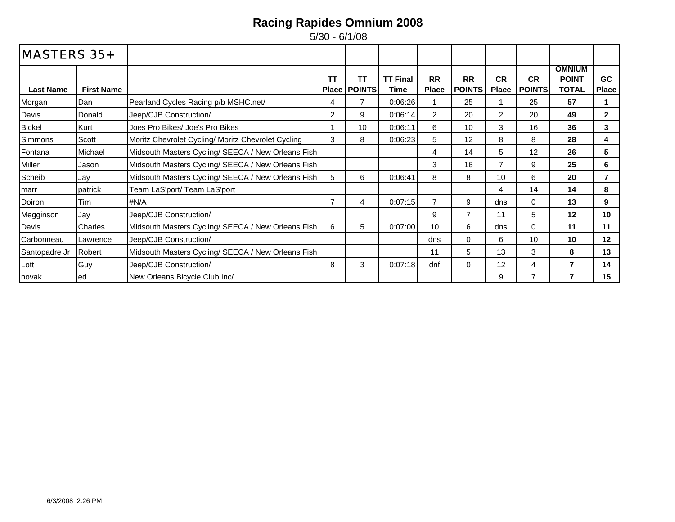| <b>MASTERS 35+</b> |                   |                                                    |                    |                     |                         |                           |                            |                           |                            |                                               |                    |
|--------------------|-------------------|----------------------------------------------------|--------------------|---------------------|-------------------------|---------------------------|----------------------------|---------------------------|----------------------------|-----------------------------------------------|--------------------|
| <b>Last Name</b>   | <b>First Name</b> |                                                    | TТ<br><b>Place</b> | TΤ<br><b>POINTS</b> | <b>TT Final</b><br>Time | <b>RR</b><br><b>Place</b> | <b>RR</b><br><b>POINTS</b> | <b>CR</b><br><b>Place</b> | <b>CR</b><br><b>POINTS</b> | <b>OMNIUM</b><br><b>POINT</b><br><b>TOTAL</b> | GC<br><b>Place</b> |
| Morgan             | Dan               | Pearland Cycles Racing p/b MSHC.net/               | 4                  | 7                   | 0:06:26                 |                           | 25                         |                           | 25                         | 57                                            |                    |
| Davis              | Donald            | Jeep/CJB Construction/                             | 2                  | 9                   | 0:06:14                 | 2                         | 20                         | $\overline{2}$            | 20                         | 49                                            | $\mathbf{2}$       |
| <b>Bickel</b>      | Kurt              | Joes Pro Bikes/ Joe's Pro Bikes                    |                    | 10                  | 0:06:11                 | 6                         | 10                         | 3                         | 16                         | 36                                            | 3                  |
| Simmons            | Scott             | Moritz Chevrolet Cycling/ Moritz Chevrolet Cycling | 3                  | 8                   | 0:06:23                 | 5                         | 12                         | 8                         | 8                          | 28                                            | 4                  |
| Fontana            | Michael           | Midsouth Masters Cycling/ SEECA / New Orleans Fish |                    |                     |                         | 4                         | 14                         | 5                         | 12                         | 26                                            | 5                  |
| Miller             | Jason             | Midsouth Masters Cycling/ SEECA / New Orleans Fish |                    |                     |                         | 3                         | 16                         | $\overline{7}$            | 9                          | 25                                            | 6                  |
| Scheib             | Jay               | Midsouth Masters Cycling/ SEECA / New Orleans Fish | 5                  | 6                   | 0:06:41                 | 8                         | 8                          | 10                        | 6                          | 20                                            | $\overline{7}$     |
| marr               | patrick           | Team LaS'port/ Team LaS'port                       |                    |                     |                         |                           |                            | 4                         | 14                         | 14                                            | 8                  |
| Doiron             | Tim               | #N/A                                               | $\overline{ }$     | 4                   | 0:07:15                 | $\overline{7}$            | 9                          | dns                       | 0                          | 13                                            | 9                  |
| Megginson          | Jay               | Jeep/CJB Construction/                             |                    |                     |                         | 9                         | $\overline{7}$             | 11                        | 5.                         | 12                                            | 10                 |
| Davis              | <b>Charles</b>    | Midsouth Masters Cycling/ SEECA / New Orleans Fish | 6                  | 5                   | 0:07:00                 | 10                        | 6                          | dns                       | $\Omega$                   | 11                                            | 11                 |
| Carbonneau         | Lawrence          | Jeep/CJB Construction/                             |                    |                     |                         | dns                       | $\Omega$                   | 6                         | 10                         | 10                                            | 12                 |
| Santopadre Jr      | Robert            | Midsouth Masters Cycling/ SEECA / New Orleans Fish |                    |                     |                         | 11                        | 5                          | 13                        | 3                          | 8                                             | 13                 |
| Lott               | Guy               | Jeep/CJB Construction/                             | 8                  | 3                   | 0:07:18                 | dnf                       | 0                          | 12                        | 4                          | $\overline{7}$                                | 14                 |
| novak              | led               | New Orleans Bicycle Club Inc/                      |                    |                     |                         |                           |                            | 9                         | 7                          |                                               | 15                 |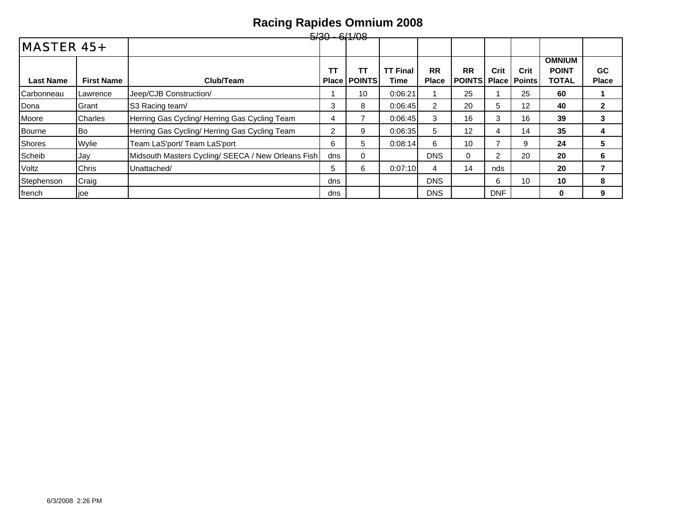|                   |                   |                                                    | $-5/30 - 6/1/08$   |                     |                         |                           |                                  |                |                    |                                               |                           |
|-------------------|-------------------|----------------------------------------------------|--------------------|---------------------|-------------------------|---------------------------|----------------------------------|----------------|--------------------|-----------------------------------------------|---------------------------|
| <b>MASTER 45+</b> |                   |                                                    |                    |                     |                         |                           |                                  |                |                    |                                               |                           |
| <b>Last Name</b>  | <b>First Name</b> | Club/Team                                          | тт<br><b>Place</b> | TΤ<br><b>POINTS</b> | <b>TT Final</b><br>Time | <b>RR</b><br><b>Place</b> | <b>RR</b><br><b>POINTS Place</b> | Crit           | Crit<br>l Points l | <b>OMNIUM</b><br><b>POINT</b><br><b>TOTAL</b> | <b>GC</b><br><b>Place</b> |
| Carbonneau        | Lawrence          | Jeep/CJB Construction/                             |                    | 10                  | 0:06:21                 |                           | 25                               |                | 25                 | 60                                            |                           |
| Dona              | Grant             | S3 Racing team/                                    | 3                  | 8                   | 0:06:45                 | $\overline{2}$            | 20                               | 5              | 12                 | 40                                            | $\mathbf{2}$              |
| Moore             | <b>Charles</b>    | Herring Gas Cycling/ Herring Gas Cycling Team      | 4                  |                     | 0:06:45                 | 3                         | 16                               | 3              | 16                 | 39                                            | 3                         |
| <b>Bourne</b>     | lBo.              | Herring Gas Cycling/Herring Gas Cycling Team       | 2                  | 9                   | 0:06:35                 | 5                         | 12                               | 4              | 14                 | 35                                            | 4                         |
| <b>Shores</b>     | Wylie             | Team LaS'port/ Team LaS'port                       | 6                  | 5                   | 0:08:14                 | 6                         | 10                               |                | 9                  | 24                                            | 5                         |
| Scheib            | Jay               | Midsouth Masters Cycling/ SEECA / New Orleans Fish | dns                | 0                   |                         | <b>DNS</b>                | $\Omega$                         | $\overline{2}$ | 20                 | 20                                            | 6                         |
| Voltz             | Chris             | Unattached/                                        | 5                  | 6                   | 0:07:10                 | 4                         | 14                               | nds            |                    | 20                                            |                           |
| Stephenson        | Craig             |                                                    | dns                |                     |                         | <b>DNS</b>                |                                  | 6              | 10                 | 10                                            | 8                         |
| french            | joe               |                                                    | dns                |                     |                         | <b>DNS</b>                |                                  | <b>DNF</b>     |                    | 0                                             | 9                         |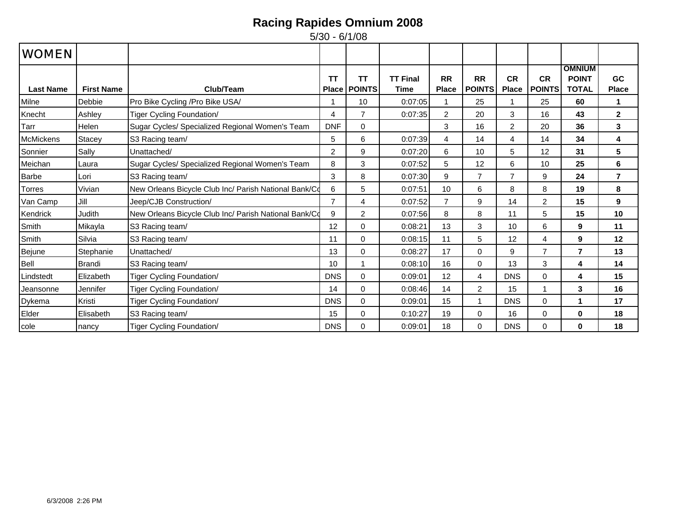| <b>WOMEN</b>     |                   |                                                       |                    |                     |                         |                           |                            |                           |                            |                                               |                    |
|------------------|-------------------|-------------------------------------------------------|--------------------|---------------------|-------------------------|---------------------------|----------------------------|---------------------------|----------------------------|-----------------------------------------------|--------------------|
| <b>Last Name</b> | <b>First Name</b> | Club/Team                                             | ТT<br><b>Place</b> | ΤT<br><b>POINTS</b> | <b>TT Final</b><br>Time | <b>RR</b><br><b>Place</b> | <b>RR</b><br><b>POINTS</b> | <b>CR</b><br><b>Place</b> | <b>CR</b><br><b>POINTS</b> | <b>OMNIUM</b><br><b>POINT</b><br><b>TOTAL</b> | GC<br><b>Place</b> |
| Milne            | Debbie            | Pro Bike Cycling / Pro Bike USA/                      |                    | 10                  | 0:07:05                 |                           | 25                         |                           | 25                         | 60                                            | 1                  |
| Knecht           | Ashley            | Tiger Cycling Foundation/                             | 4                  | $\overline{7}$      | 0:07:35                 | $\overline{2}$            | 20                         | 3                         | 16                         | 43                                            | $\mathbf{2}$       |
| Tarr             | Helen             | Sugar Cycles/ Specialized Regional Women's Team       | <b>DNF</b>         | $\Omega$            |                         | 3                         | 16                         | 2                         | 20                         | 36                                            | 3                  |
| <b>McMickens</b> | Stacey            | S3 Racing team/                                       | 5                  | 6                   | 0:07:39                 | $\overline{4}$            | 14                         | $\overline{4}$            | 14                         | 34                                            | 4                  |
| Sonnier          | Sally             | Unattached/                                           | $\overline{2}$     | 9                   | 0:07:20                 | 6                         | 10                         | 5                         | 12                         | 31                                            | 5                  |
| Meichan          | Laura             | Sugar Cycles/ Specialized Regional Women's Team       | 8                  | 3                   | 0:07:52                 | 5                         | 12                         | 6                         | 10                         | 25                                            | 6                  |
| <b>Barbe</b>     | Lori              | S3 Racing team/                                       | 3                  | 8                   | 0:07:30                 | 9                         | $\overline{7}$             | $\overline{7}$            | 9                          | 24                                            | $\overline{7}$     |
| <b>Torres</b>    | Vivian            | New Orleans Bicycle Club Inc/ Parish National Bank/Co | 6                  | 5                   | 0:07:51                 | 10                        | 6                          | 8                         | 8                          | 19                                            | 8                  |
| Van Camp         | Jill              | Jeep/CJB Construction/                                | $\overline{7}$     | 4                   | 0:07:52                 | $\overline{7}$            | 9                          | 14                        | $\overline{c}$             | 15                                            | 9                  |
| Kendrick         | Judith            | New Orleans Bicycle Club Inc/ Parish National Bank/Co | 9                  | $\overline{2}$      | 0:07:56                 | 8                         | 8                          | 11                        | 5                          | 15                                            | 10                 |
| Smith            | Mikayla           | S3 Racing team/                                       | 12                 | $\mathbf 0$         | 0:08:21                 | 13                        | 3                          | 10                        | 6                          | 9                                             | 11                 |
| Smith            | Silvia            | S3 Racing team/                                       | 11                 | $\Omega$            | 0:08:15                 | 11                        | 5                          | 12                        | 4                          | 9                                             | 12                 |
| Bejune           | Stephanie         | Unattached/                                           | 13                 | $\mathbf 0$         | 0:08:27                 | 17                        | $\Omega$                   | 9                         | $\overline{7}$             | $\overline{7}$                                | 13                 |
| Bell             | Brandi            | S3 Racing team/                                       | 10                 |                     | 0:08:10                 | 16                        | 0                          | 13                        | 3                          | 4                                             | 14                 |
| Lindstedt        | Elizabeth         | Tiger Cycling Foundation/                             | <b>DNS</b>         | $\mathbf 0$         | 0:09:01                 | 12                        | $\overline{4}$             | <b>DNS</b>                | $\mathbf 0$                | 4                                             | 15                 |
| Jeansonne        | Jennifer          | Tiger Cycling Foundation/                             | 14                 | $\Omega$            | 0:08:46                 | 14                        | 2                          | 15                        |                            | 3                                             | 16                 |
| Dykema           | Kristi            | Tiger Cycling Foundation/                             | <b>DNS</b>         | $\Omega$            | 0:09:01                 | 15                        | 1                          | <b>DNS</b>                | $\Omega$                   | 1                                             | 17                 |
| Elder            | Elisabeth         | S3 Racing team/                                       | 15                 | 0                   | 0:10:27                 | 19                        | $\Omega$                   | 16                        | $\Omega$                   | $\bf{0}$                                      | 18                 |
| cole             | nancy             | Tiger Cycling Foundation/                             | <b>DNS</b>         | $\Omega$            | 0:09:01                 | 18                        | $\Omega$                   | <b>DNS</b>                | $\Omega$                   | 0                                             | 18                 |